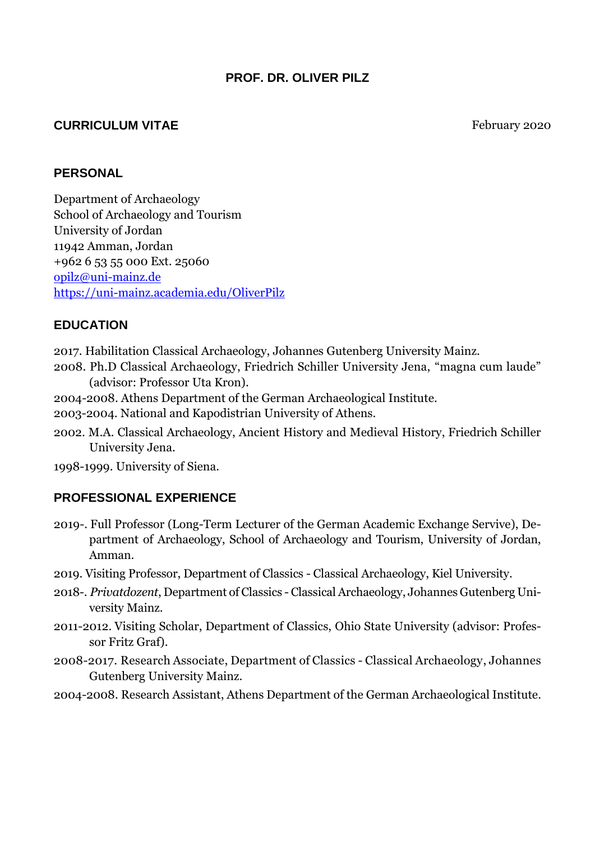### **PROF. DR. OLIVER PILZ**

#### **CURRICULUM VITAE** February 2020

#### **PERSONAL**

Department of Archaeology School of Archaeology and Tourism University of Jordan 11942 Amman, Jordan +962 6 53 55 000 Ext. 25060 [opilz@uni-mainz.de](mailto:opilz@uni-mainz.de) <https://uni-mainz.academia.edu/OliverPilz>

### **EDUCATION**

2017. Habilitation Classical Archaeology, Johannes Gutenberg University Mainz.

- 2008. Ph.D Classical Archaeology, Friedrich Schiller University Jena, "magna cum laude" (advisor: Professor Uta Kron).
- 2004-2008. Athens Department of the German Archaeological Institute.
- 2003-2004. National and Kapodistrian University of Athens.
- 2002. M.A. Classical Archaeology, Ancient History and [Medieval](http://www.dict.cc/englisch-deutsch/medieval.html) [History,](http://www.dict.cc/englisch-deutsch/history.html) Friedrich Schiller University Jena.

1998-1999. University of Siena.

### **PROFESSIONAL EXPERIENCE**

- 2019-. Full Professor (Long-Term Lecturer of the German Academic Exchange Servive), Department of Archaeology, School of Archaeology and Tourism, University of Jordan, Amman.
- 2019. Visiting Professor, Department of Classics Classical Archaeology, Kiel University.
- 2018-. *Privatdozent*, Department of Classics Classical Archaeology, Johannes Gutenberg University Mainz.
- 2011-2012. Visiting Scholar, Department of Classics, Ohio State University (advisor: Professor Fritz Graf).
- 2008-2017. Research Associate, Department of Classics Classical Archaeology, Johannes Gutenberg University Mainz.
- 2004-2008. Research Assistant, Athens Department of the German Archaeological Institute.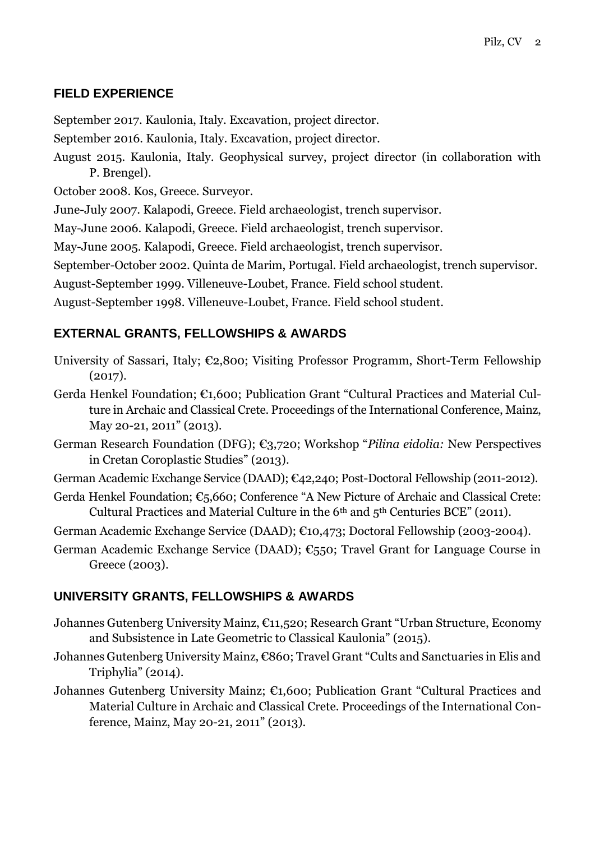### **FIELD EXPERIENCE**

September 2017. Kaulonia, Italy. Excavation, project director.

- September 2016. Kaulonia, Italy. Excavation, project director.
- August 2015. Kaulonia, Italy. Geophysical survey, project director (in collaboration with P. Brengel).
- October 2008. Kos, Greece. Surveyor.

June-July 2007. Kalapodi, Greece. Field archaeologist, trench supervisor.

May-June 2006. Kalapodi, Greece. Field archaeologist, trench supervisor.

May-June 2005. Kalapodi, Greece. Field archaeologist, trench supervisor.

September-October 2002. Quinta de Marim, Portugal. Field archaeologist, trench supervisor.

August-September 1999. Villeneuve-Loubet, France. Field school student.

August-September 1998. Villeneuve-Loubet, France. Field school student.

#### **EXTERNAL GRANTS, FELLOWSHIPS & AWARDS**

- University of Sassari, Italy; €2,800; Visiting Professor Programm, Short-Term Fellowship (2017).
- Gerda Henkel Foundation; €1,600; Publication Grant "Cultural Practices and Material Culture in Archaic and Classical Crete. Proceedings of the International Conference, Mainz, May 20-21, 2011" (2013).
- German Research Foundation (DFG); €3,720; Workshop "*Pilina eidolia:* New Perspectives in Cretan Coroplastic Studies" (2013).
- German Academic Exchange Service (DAAD); €42,240; Post-Doctoral Fellowship (2011-2012).
- Gerda Henkel Foundation; €5,660; Conference "A New Picture of Archaic and Classical Crete: Cultural Practices and Material Culture in the  $6<sup>th</sup>$  and  $5<sup>th</sup>$  Centuries BCE" (2011).
- German Academic Exchange Service (DAAD); €10,473; Doctoral Fellowship (2003-2004).
- German Academic Exchange Service (DAAD); €550; Travel Grant for Language Course in Greece (2003).

#### **UNIVERSITY GRANTS, FELLOWSHIPS & AWARDS**

- Johannes Gutenberg University Mainz, €11,520; Research Grant "Urban Structure, Economy and Subsistence in Late Geometric to Classical Kaulonia" (2015).
- Johannes Gutenberg University Mainz, €860; Travel Grant "Cults and Sanctuaries in Elis and Triphylia" (2014).
- Johannes Gutenberg University Mainz; €1,600; Publication Grant "Cultural Practices and Material Culture in Archaic and Classical Crete. Proceedings of the International Conference, Mainz, May 20-21, 2011" (2013).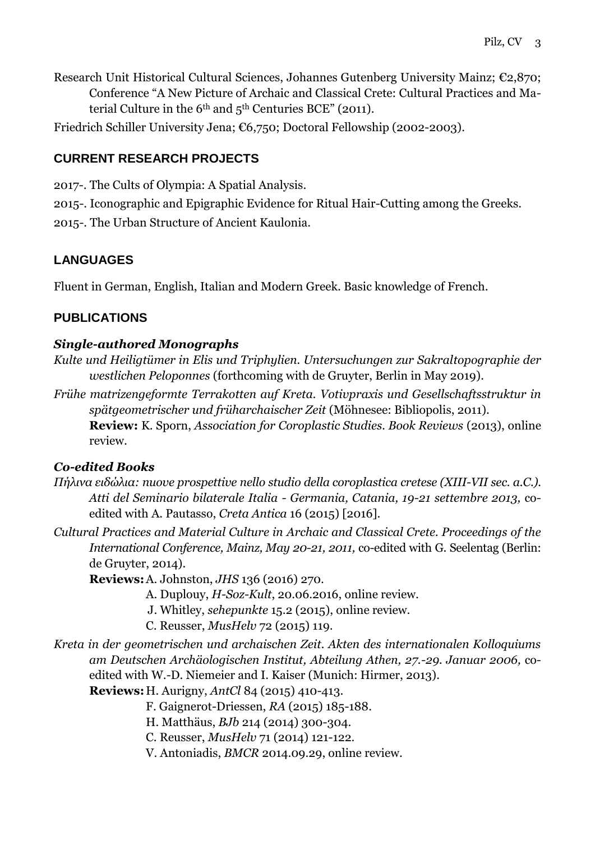- Research Unit Historical Cultural Sciences, Johannes Gutenberg University Mainz; €2,870; Conference "A New Picture of Archaic and Classical Crete: Cultural Practices and Material Culture in the  $6<sup>th</sup>$  and  $5<sup>th</sup>$  Centuries BCE" (2011).
- Friedrich Schiller University Jena; €6,750; Doctoral Fellowship (2002-2003).

# **CURRENT RESEARCH PROJECTS**

2017-. The Cults of Olympia: A Spatial Analysis.

2015-. Iconographic and Epigraphic Evidence for Ritual Hair-Cutting among the Greeks. 2015-. The Urban Structure of Ancient Kaulonia.

# **LANGUAGES**

Fluent in German, English, Italian and Modern Greek. Basic knowledge of French.

### **PUBLICATIONS**

### *Single-authored Monographs*

- *Kulte und Heiligtümer in Elis und Triphylien. Untersuchungen zur Sakraltopographie der westlichen Peloponnes* (forthcoming with de Gruyter, Berlin in May 2019).
- *Frühe matrizengeformte Terrakotten auf Kreta. Votivpraxis und Gesellschaftsstruktur in spätgeometrischer und früharchaischer Zeit* (Möhnesee: Bibliopolis, 2011). **Review:** K. Sporn, *Association for Coroplastic Studies. Book Reviews* (2013), online review.

### *Co-edited Books*

- *Πήλινα ειδώλια: nuove prospettive nello studio della coroplastica cretese (XIII-VII sec. a.C.). Atti del Seminario bilaterale Italia - Germania, Catania, 19-21 settembre 2013,* coedited with A. Pautasso, *Creta Antica* 16 (2015) [2016].
- *Cultural Practices and Material Culture in Archaic and Classical Crete. Proceedings of the International Conference, Mainz, May 20-21, 2011,* co-edited with G. Seelentag (Berlin: de Gruyter, 2014).

**Reviews:**A. Johnston, *JHS* 136 (2016) 270.

- A. Duplouy, *H-Soz-Kult*, 20.06.2016, online review.
- J. Whitley, *sehepunkte* 15.2 (2015), online review.
- C. Reusser, *MusHelv* 72 (2015) 119.
- *Kreta in der geometrischen und archaischen Zeit. Akten des internationalen Kolloquiums am Deutschen Archäologischen Institut, Abteilung Athen, 27.-29. Januar 2006,* coedited with W.-D. Niemeier and I. Kaiser (Munich: Hirmer, 2013).

**Reviews:**H. Aurigny, *AntCl* 84 (2015) 410-413.

F. Gaignerot-Driessen, *RA* (2015) 185-188.

- H. Matthäus, *BJb* 214 (2014) 300-304.
- C. Reusser, *MusHelv* 71 (2014) 121-122.
- V. Antoniadis, *BMCR* 2014.09.29, online review.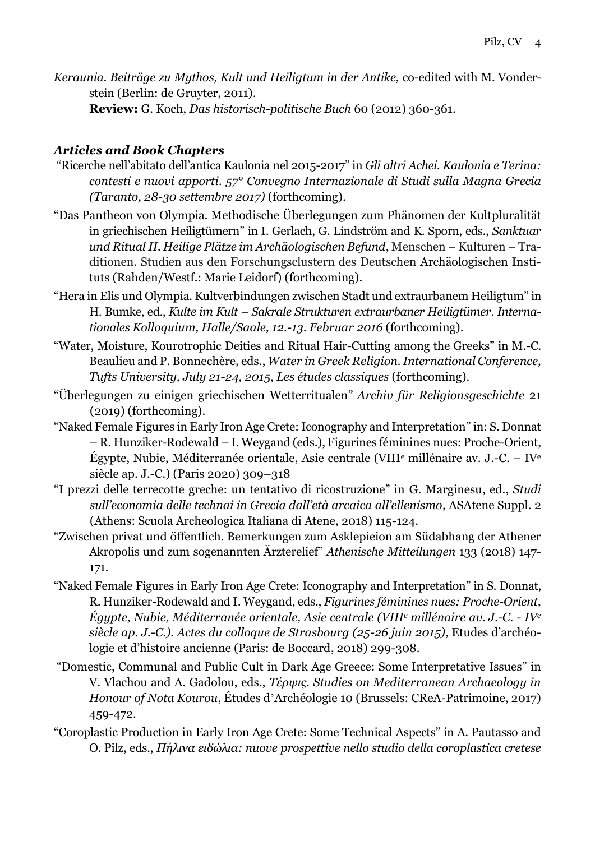*Keraunia. Beiträge zu Mythos, Kult und Heiligtum in der Antike,* co-edited with M. Vonderstein (Berlin: de Gruyter, 2011).

**Review:** G. Koch, *Das historisch-politische Buch* 60 (2012) 360-361.

### *Articles and Book Chapters*

- "Ricerche nell'abitato dell'antica Kaulonia nel 2015-2017" in *Gli altri Achei. Kaulonia e Terina: contesti e nuovi apporti. 57° Convegno Internazionale di Studi sulla Magna Grecia (Taranto, 28-30 settembre 2017)* (forthcoming).
- "Das Pantheon von Olympia. Methodische Überlegungen zum Phänomen der Kultpluralität in griechischen Heiligtümern" in I. Gerlach, G. Lindström and K. Sporn, eds., *Sanktuar und Ritual II. Heilige Plätze im Archäologischen Befund*, Menschen – Kulturen – Traditionen. Studien aus den Forschungsclustern des Deutschen Archäologischen Instituts (Rahden/Westf.: Marie Leidorf) (forthcoming).
- "Hera in Elis und Olympia. Kultverbindungen zwischen Stadt und extraurbanem Heiligtum" in H. Bumke, ed., *Kulte im Kult – Sakrale Strukturen extraurbaner Heiligtümer. Internationales Kolloquium, Halle/Saale, 12.-13. Februar 2016* (forthcoming).
- "Water, Moisture, Kourotrophic Deities and Ritual Hair-Cutting among the Greeks" in M.-C. Beaulieu and P. Bonnechère, eds., *Water in Greek Religion. International Conference, Tufts University, July 21-24, 2015*, *Les études classiques* (forthcoming).
- "Überlegungen zu einigen griechischen Wetterritualen" *Archiv für Religionsgeschichte* 21 (2019) (forthcoming).
- "Naked Female Figures in Early Iron Age Crete: Iconography and Interpretation" in: S. Donnat – R. Hunziker-Rodewald – I. Weygand (eds.), Figurines féminines nues: Proche-Orient, Égypte, Nubie, Méditerranée orientale, Asie centrale (VIII<sup>e</sup> millénaire av. J.-C. – IV<sup>e</sup> siècle ap. J.-C.) (Paris 2020) 309–318
- "I prezzi delle terrecotte greche: un tentativo di ricostruzione" in G. Marginesu, ed., *Studi sull'economia delle technai in Grecia dall'età arcaica all'ellenismo*, ASAtene Suppl. 2 (Athens: Scuola Archeologica Italiana di Atene, 2018) 115-124.
- "Zwischen privat und öffentlich. Bemerkungen zum Asklepieion am Südabhang der Athener Akropolis und zum sogenannten Ärzterelief" *Athenische Mitteilungen* 133 (2018) 147- 171.
- "Naked Female Figures in Early Iron Age Crete: Iconography and Interpretation" in S. Donnat, R. Hunziker-Rodewald and I. Weygand, eds., *Figurines féminines nues: Proche-Orient, Égypte, Nubie, Méditerranée orientale, Asie centrale (VIII<sup>e</sup> millénaire av. J.-C. - IV<sup>e</sup> siècle ap. J.-C.). Actes du colloque de Strasbourg (25-26 juin 2015)*, Etudes d'archéologie et d'histoire ancienne (Paris: de Boccard, 2018) 299-308.
- "Domestic, Communal and Public Cult in Dark Age Greece: Some Interpretative Issues" in V. Vlachou and A. Gadolou, eds., *Τέρψις. Studies on Mediterranean Archaeology in Honour of Nota Kourou*, Études d'Archéologie 10 (Brussels: CReA-Patrimoine, 2017) 459-472.
- "Coroplastic Production in Early Iron Age Crete: Some Technical Aspects" in A. Pautasso and O. Pilz, eds., *Πήλινα ειδώλια: nuove prospettive nello studio della coroplastica cretese*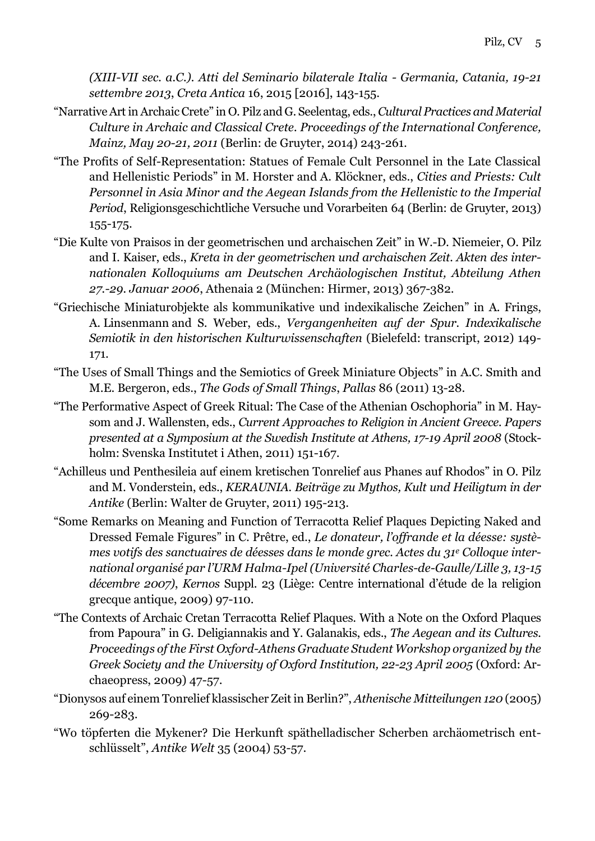*(XIII-VII sec. a.C.). Atti del Seminario bilaterale Italia - Germania, Catania, 19-21 settembre 2013*, *Creta Antica* 16, 2015 [2016], 143-155.

- "Narrative Art in Archaic Crete" in O. Pilz and G. Seelentag, eds., *Cultural Practices and Material Culture in Archaic and Classical Crete. Proceedings of the International Conference, Mainz, May 20-21, 2011* (Berlin: de Gruyter, 2014) 243-261.
- "The Profits of Self-Representation: Statues of Female Cult Personnel in the Late Classical and Hellenistic Periods" in M. Horster and A. Klöckner, eds., *Cities and Priests: Cult Personnel in Asia Minor and the Aegean Islands from the Hellenistic to the Imperial Period*, Religionsgeschichtliche Versuche und Vorarbeiten 64 (Berlin: de Gruyter, 2013) 155-175.
- "Die Kulte von Praisos in der geometrischen und archaischen Zeit" in W.-D. Niemeier, O. Pilz and I. Kaiser, eds., *Kreta in der geometrischen und archaischen Zeit. Akten des internationalen Kolloquiums am Deutschen Archäologischen Institut, Abteilung Athen 27.-29. Januar 2006*, Athenaia 2 (München: Hirmer, 2013) 367-382.
- "Griechische Miniaturobjekte als kommunikative und indexikalische Zeichen" in A. Frings, A. Linsenmann and S. Weber, eds., *Vergangenheiten auf der Spur. Indexikalische Semiotik in den historischen Kulturwissenschaften* (Bielefeld: transcript, 2012) 149- 171.
- "The Uses of Small Things and the Semiotics of Greek Miniature Objects" in A.C. Smith and M.E. Bergeron, eds., *The Gods of Small Things*, *Pallas* 86 (2011) 13-28.
- "The Performative Aspect of Greek Ritual: The Case of the Athenian Oschophoria" in M. Haysom and J. Wallensten, eds., *Current Approaches to Religion in Ancient Greece. Papers presented at a Symposium at the Swedish Institute at Athens, 17-19 April 2008* (Stockholm: Svenska Institutet i Athen, 2011) 151-167.
- "Achilleus und Penthesileia auf einem kretischen Tonrelief aus Phanes auf Rhodos" in O. Pilz and M. Vonderstein, eds., *KERAUNIA. Beiträge zu Mythos, Kult und Heiligtum in der Antike* (Berlin: Walter de Gruyter, 2011) 195-213.
- "Some Remarks on Meaning and Function of Terracotta Relief Plaques Depicting Naked and Dressed Female Figures" in C. Prêtre, ed., *Le donateur, l'offrande et la déesse: systèmes votifs des sanctuaires de déesses dans le monde grec. Actes du 31<sup>e</sup> Colloque international organisé par l'URM Halma-Ipel (Université Charles-de-Gaulle/Lille 3, 13-15 décembre 2007)*, *Kernos* Suppl. 23 (Liège: Centre international d'étude de la religion grecque antique, 2009) 97-110.
- "The Contexts of Archaic Cretan Terracotta Relief Plaques. With a Note on the Oxford Plaques from Papoura" in G. Deligiannakis and Y. Galanakis, eds., *The Aegean and its Cultures. Proceedings of the First Oxford-Athens Graduate Student Workshop organized by the Greek Society and the University of Oxford Institution, 22-23 April 2005* (Oxford: Archaeopress, 2009) 47-57.
- "Dionysos auf einem Tonrelief klassischer Zeit in Berlin?", *Athenische Mitteilungen 120* (2005) 269-283.
- "Wo töpferten die Mykener? Die Herkunft späthelladischer Scherben archäometrisch entschlüsselt", *Antike Welt* 35 (2004) 53-57.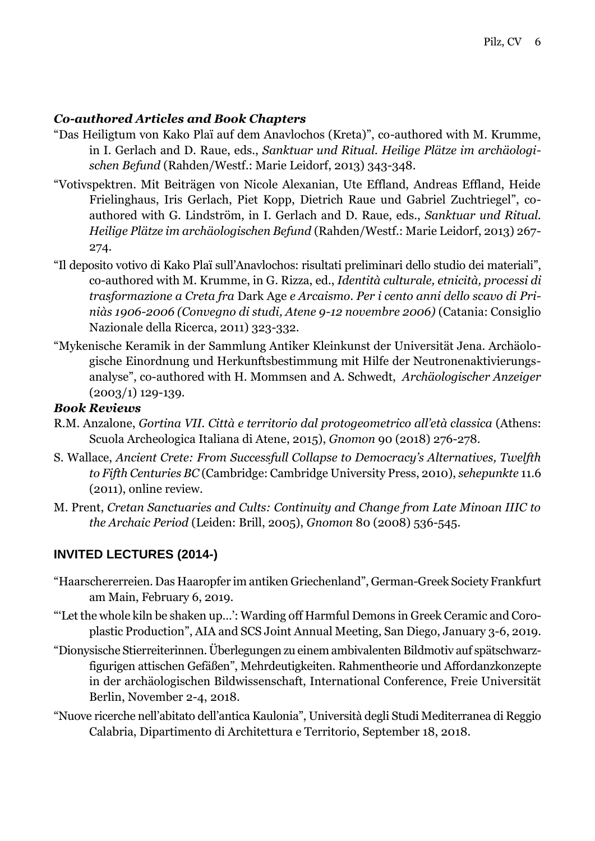### *Co-authored Articles and Book Chapters*

- "Das Heiligtum von Kako Plaï auf dem Anavlochos (Kreta)", co-authored with M. Krumme, in I. Gerlach and D. Raue, eds., *Sanktuar und Ritual. Heilige Plätze im archäologischen Befund* (Rahden/Westf.: Marie Leidorf, 2013) 343-348.
- "Votivspektren. Mit Beiträgen von Nicole Alexanian, Ute Effland, Andreas Effland, Heide Frielinghaus, Iris Gerlach, Piet Kopp, Dietrich Raue und Gabriel Zuchtriegel", coauthored with G. Lindström, in I. Gerlach and D. Raue, eds., *Sanktuar und Ritual. Heilige Plätze im archäologischen Befund* (Rahden/Westf.: Marie Leidorf, 2013) 267- 274.
- "Il deposito votivo di Kako Plaï sull'Anavlochos: risultati preliminari dello studio dei materiali", co-authored with M. Krumme, in G. Rizza, ed., *Identità culturale, etnicità, processi di trasformazione a Creta fra* Dark Age *e Arcaismo. Per i cento anni dello scavo di Priniàs 1906-2006 (Convegno di studi, Atene 9-12 novembre 2006)* (Catania: Consiglio Nazionale della Ricerca, 2011) 323-332.
- "Mykenische Keramik in der Sammlung Antiker Kleinkunst der Universität Jena. Archäologische Einordnung und Herkunftsbestimmung mit Hilfe der Neutronenaktivierungsanalyse", co-authored with H. Mommsen and A. Schwedt, *Archäologischer Anzeiger*  $(2003/1)$  129-139.

### *Book Reviews*

- R.M. Anzalone, *Gortina VII. Città e territorio dal protogeometrico all'età classica* (Athens: Scuola Archeologica Italiana di Atene, 2015), *Gnomon* 90 (2018) 276-278.
- S. Wallace, *Ancient Crete: From Successfull Collapse to Democracy's Alternatives, Twelfth to Fifth Centuries BC* (Cambridge: Cambridge University Press, 2010), *sehepunkte* 11.6 (2011), online review.
- M. Prent, *Cretan Sanctuaries and Cults: Continuity and Change from Late Minoan IIIC to the Archaic Period* (Leiden: Brill, 2005), *Gnomon* 80 (2008) 536-545.

# **INVITED LECTURES (2014-)**

- "Haarschererreien. Das Haaropfer im antiken Griechenland", German-Greek Society Frankfurt am Main, February 6, 2019.
- "'Let the whole kiln be shaken up…': Warding off Harmful Demons in Greek Ceramic and Coroplastic Production", AIA and SCS Joint Annual Meeting, San Diego, January 3-6, 2019.
- "Dionysische Stierreiterinnen. Überlegungen zu einem ambivalenten Bildmotiv auf spätschwarzfigurigen attischen Gefäßen", Mehrdeutigkeiten. Rahmentheorie und Affordanzkonzepte in der archäologischen Bildwissenschaft, International Conference, Freie Universität Berlin, November 2-4, 2018.
- "Nuove ricerche nell'abitato dell'antica Kaulonia", Università degli Studi Mediterranea di Reggio Calabria, Dipartimento di Architettura e Territorio, September 18, 2018.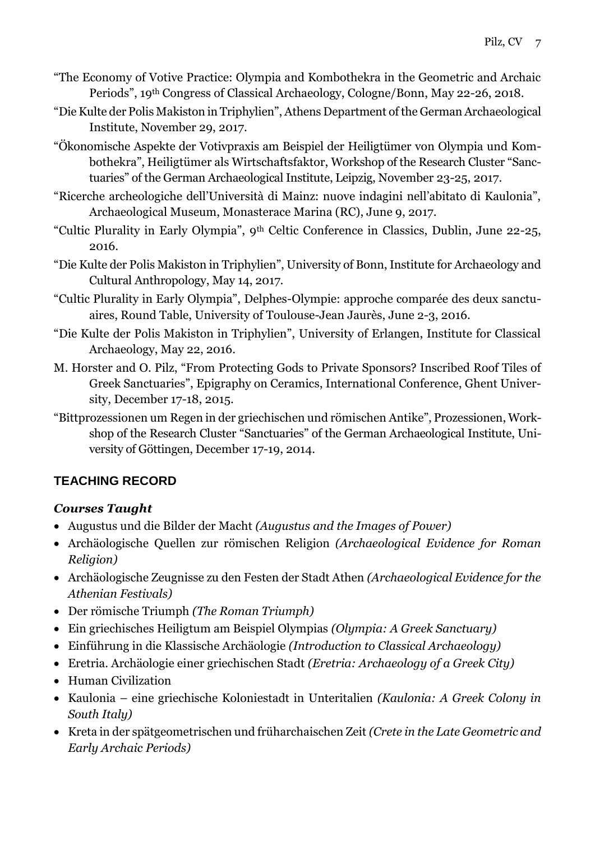- "The Economy of Votive Practice: Olympia and Kombothekra in the Geometric and Archaic Periods", 19th Congress of Classical Archaeology, Cologne/Bonn, May 22-26, 2018.
- "Die Kulte der Polis Makiston in Triphylien", Athens Department of the German Archaeological Institute, November 29, 2017.
- "Ökonomische Aspekte der Votivpraxis am Beispiel der Heiligtümer von Olympia und Kombothekra", Heiligtümer als Wirtschaftsfaktor, Workshop of the Research Cluster "Sanctuaries" of the German Archaeological Institute, Leipzig, November 23-25, 2017.
- "Ricerche archeologiche dell'Università di Mainz: nuove indagini nell'abitato di Kaulonia", Archaeological Museum, Monasterace Marina (RC), June 9, 2017.
- "Cultic Plurality in Early Olympia", 9th Celtic Conference in Classics, Dublin, June 22-25, 2016.
- "Die Kulte der Polis Makiston in Triphylien", University of Bonn, Institute for Archaeology and Cultural Anthropology, May 14, 2017.
- "Cultic Plurality in Early Olympia", Delphes-Olympie: approche comparée des deux sanctuaires, Round Table, University of Toulouse-Jean Jaurès, June 2-3, 2016.
- "Die Kulte der Polis Makiston in Triphylien", University of Erlangen, Institute for Classical Archaeology, May 22, 2016.
- M. Horster and O. Pilz, "From Protecting Gods to Private Sponsors? Inscribed Roof Tiles of Greek Sanctuaries", Epigraphy on Ceramics, International Conference, Ghent University, December 17-18, 2015.
- "Bittprozessionen um Regen in der griechischen und römischen Antike", Prozessionen, Workshop of the Research Cluster "Sanctuaries" of the German Archaeological Institute, University of Göttingen, December 17-19, 2014.

# **TEACHING RECORD**

# *Courses Taught*

- Augustus und die Bilder der Macht *(Augustus and the Images of Power)*
- Archäologische Quellen zur römischen Religion *(Archaeological Evidence for Roman Religion)*
- Archäologische Zeugnisse zu den Festen der Stadt Athen *(Archaeological Evidence for the Athenian Festivals)*
- Der römische Triumph *(The Roman Triumph)*
- Ein griechisches Heiligtum am Beispiel Olympias *(Olympia: A Greek Sanctuary)*
- Einführung in die Klassische Archäologie *(Introduction to Classical Archaeology)*
- Eretria. Archäologie einer griechischen Stadt *(Eretria: Archaeology of a Greek City)*
- Human Civilization
- Kaulonia eine griechische Koloniestadt in Unteritalien *(Kaulonia: A Greek Colony in South Italy)*
- Kreta in der spätgeometrischen und früharchaischen Zeit *(Crete in the Late Geometric and Early Archaic Periods)*